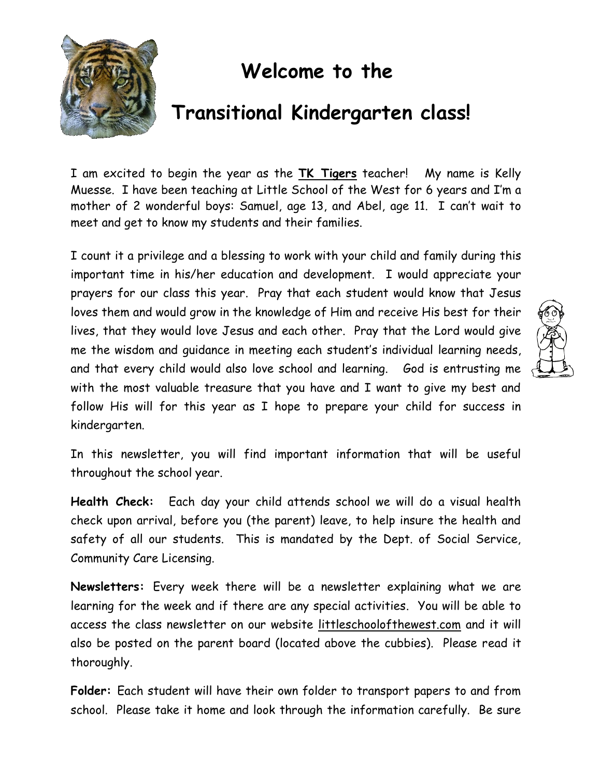

## **Welcome to the**

## **Transitional Kindergarten class!**

I am excited to begin the year as the **TK Tigers** teacher! My name is Kelly Muesse. I have been teaching at Little School of the West for 6 years and I'm a mother of 2 wonderful boys: Samuel, age 13, and Abel, age 11. I can't wait to meet and get to know my students and their families.

I count it a privilege and a blessing to work with your child and family during this important time in his/her education and development. I would appreciate your prayers for our class this year. Pray that each student would know that Jesus loves them and would grow in the knowledge of Him and receive His best for their lives, that they would love Jesus and each other. Pray that the Lord would give me the wisdom and guidance in meeting each student's individual learning needs, and that every child would also love school and learning. God is entrusting me with the most valuable treasure that you have and I want to give my best and follow His will for this year as I hope to prepare your child for success in kindergarten.

In this newsletter, you will find important information that will be useful throughout the school year.

**Health Check:** Each day your child attends school we will do a visual health check upon arrival, before you (the parent) leave, to help insure the health and safety of all our students. This is mandated by the Dept. of Social Service, Community Care Licensing.

**Newsletters:** Every week there will be a newsletter explaining what we are learning for the week and if there are any special activities. You will be able to access the class newsletter on our website littleschoolofthewest.com and it will also be posted on the parent board (located above the cubbies). Please read it thoroughly.

**Folder:** Each student will have their own folder to transport papers to and from school. Please take it home and look through the information carefully. Be sure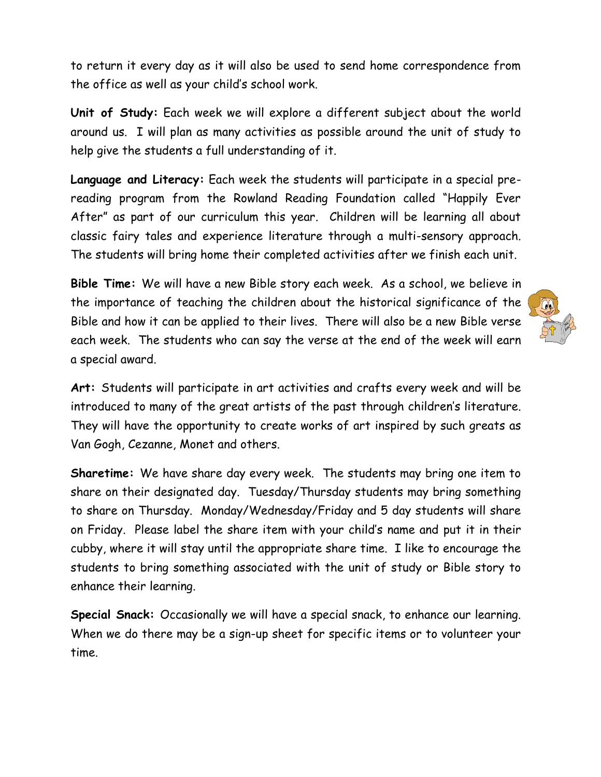to return it every day as it will also be used to send home correspondence from the office as well as your child's school work.

**Unit of Study:** Each week we will explore a different subject about the world around us. I will plan as many activities as possible around the unit of study to help give the students a full understanding of it.

**Language and Literacy:** Each week the students will participate in a special prereading program from the Rowland Reading Foundation called "Happily Ever After" as part of our curriculum this year. Children will be learning all about classic fairy tales and experience literature through a multi-sensory approach. The students will bring home their completed activities after we finish each unit.

**Bible Time:** We will have a new Bible story each week. As a school, we believe in the importance of teaching the children about the historical significance of the Bible and how it can be applied to their lives. There will also be a new Bible verse each week. The students who can say the verse at the end of the week will earn a special award.

**Art:** Students will participate in art activities and crafts every week and will be introduced to many of the great artists of the past through children's literature. They will have the opportunity to create works of art inspired by such greats as Van Gogh, Cezanne, Monet and others.

**Sharetime:** We have share day every week. The students may bring one item to share on their designated day. Tuesday/Thursday students may bring something to share on Thursday. Monday/Wednesday/Friday and 5 day students will share on Friday. Please label the share item with your child's name and put it in their cubby, where it will stay until the appropriate share time. I like to encourage the students to bring something associated with the unit of study or Bible story to enhance their learning.

**Special Snack:** Occasionally we will have a special snack, to enhance our learning. When we do there may be a sign-up sheet for specific items or to volunteer your time.